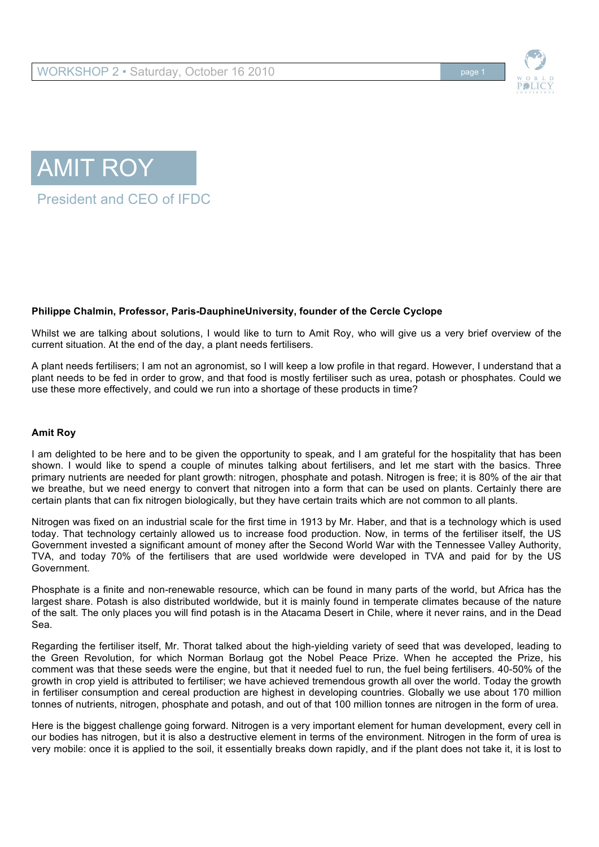





## **Philippe Chalmin, Professor, Paris-DauphineUniversity, founder of the Cercle Cyclope**

Whilst we are talking about solutions, I would like to turn to Amit Roy, who will give us a very brief overview of the current situation. At the end of the day, a plant needs fertilisers.

A plant needs fertilisers; I am not an agronomist, so I will keep a low profile in that regard. However, I understand that a plant needs to be fed in order to grow, and that food is mostly fertiliser such as urea, potash or phosphates. Could we use these more effectively, and could we run into a shortage of these products in time?

## **Amit Roy**

I am delighted to be here and to be given the opportunity to speak, and I am grateful for the hospitality that has been shown. I would like to spend a couple of minutes talking about fertilisers, and let me start with the basics. Three primary nutrients are needed for plant growth: nitrogen, phosphate and potash. Nitrogen is free; it is 80% of the air that we breathe, but we need energy to convert that nitrogen into a form that can be used on plants. Certainly there are certain plants that can fix nitrogen biologically, but they have certain traits which are not common to all plants.

Nitrogen was fixed on an industrial scale for the first time in 1913 by Mr. Haber, and that is a technology which is used today. That technology certainly allowed us to increase food production. Now, in terms of the fertiliser itself, the US Government invested a significant amount of money after the Second World War with the Tennessee Valley Authority, TVA, and today 70% of the fertilisers that are used worldwide were developed in TVA and paid for by the US Government.

Phosphate is a finite and non-renewable resource, which can be found in many parts of the world, but Africa has the largest share. Potash is also distributed worldwide, but it is mainly found in temperate climates because of the nature of the salt. The only places you will find potash is in the Atacama Desert in Chile, where it never rains, and in the Dead Sea.

Regarding the fertiliser itself, Mr. Thorat talked about the high-yielding variety of seed that was developed, leading to the Green Revolution, for which Norman Borlaug got the Nobel Peace Prize. When he accepted the Prize, his comment was that these seeds were the engine, but that it needed fuel to run, the fuel being fertilisers. 40-50% of the growth in crop yield is attributed to fertiliser; we have achieved tremendous growth all over the world. Today the growth in fertiliser consumption and cereal production are highest in developing countries. Globally we use about 170 million tonnes of nutrients, nitrogen, phosphate and potash, and out of that 100 million tonnes are nitrogen in the form of urea.

Here is the biggest challenge going forward. Nitrogen is a very important element for human development, every cell in our bodies has nitrogen, but it is also a destructive element in terms of the environment. Nitrogen in the form of urea is very mobile: once it is applied to the soil, it essentially breaks down rapidly, and if the plant does not take it, it is lost to